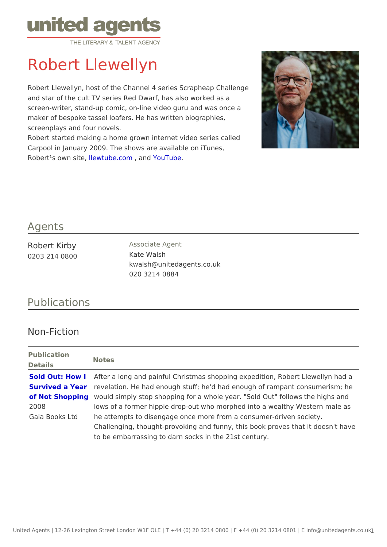## Robert Llewellyn

Robert Llewellyn, host of the Channel 4 series Scrapheap Challenge and star of the cult TV series Red Dwarf, has also worked as a screen-writer, stand-up comic, on-line video guru and was once a maker of bespoke tassel loafers. He has written biographies, screenplays and four novels. Robert started making a home grown internet video series called Carpool in January 2009. The shows are available on iTunes, Robert<sup>1</sup>s own Iste wet, ube.com n YouTube

## Agents

| Robert Kirby  | Associate Agent           |
|---------------|---------------------------|
| 0203 214 0800 | Kate Walsh                |
|               | kwalsh@unitedagents.co.uk |
|               | 020 3214 0884             |

## Publications

## Non-Fiction

Publication Details Notes

[Sold Out: How](http://www.amazon.co.uk/Sold-Out-Survived-Year-Shopping/dp/1856753085/ref=sr_1_1?ie=UTF8&s=books&qid=1255702243&sr=1-1) Alfter a long and painful Christmas shopping expedition, Robert Survived a Yeaevelation. He had enough stuff; he'd had enough of rampant co of Not Shoppingould simply stop shopping for a whole year. "Sold Out" follow 2008 Gaia Books Ltde attempts to disengage once more from a consumer-driven so lows of a former hippie drop-out who morphed into a wealthy W Challenging, thought-provoking and funny, this book proves that to be embarrassing to darn socks in the 21st century.